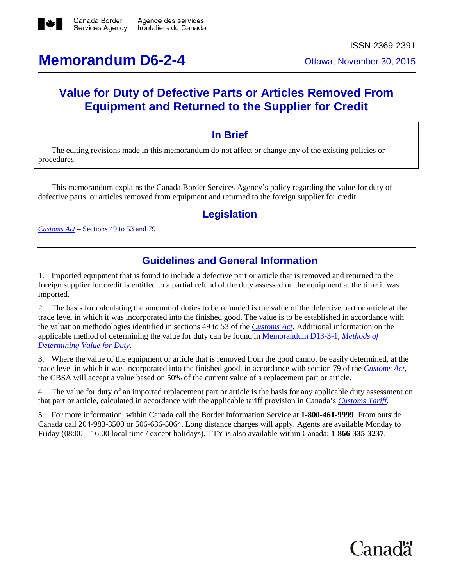

ISSN 2369-2391

# **Memorandum D6-2-4** Ottawa, November 30, 2015

## **Value for Duty of Defective Parts or Articles Removed From Equipment and Returned to the Supplier for Credit**

#### **In Brief**

The editing revisions made in this memorandum do not affect or change any of the existing policies or procedures.

This memorandum explains the Canada Border Services Agency's policy regarding the value for duty of defective parts, or articles removed from equipment and returned to the foreign supplier for credit.

#### **Legislation**

*[Customs Act](http://laws-lois.justice.gc.ca/eng/acts/C-52.6/index.html)* – Sections 49 to 53 and 79

### **Guidelines and General Information**

1. Imported equipment that is found to include a defective part or article that is removed and returned to the foreign supplier for credit is entitled to a partial refund of the duty assessed on the equipment at the time it was imported.

2. The basis for calculating the amount of duties to be refunded is the value of the defective part or article at the trade level in which it was incorporated into the finished good. The value is to be established in accordance with the valuation methodologies identified in sections 49 to 53 of the *[Customs Act](http://laws-lois.justice.gc.ca/eng/acts/C-52.6/index.html)*. Additional information on the applicable method of determining the value for duty can be found in [Memorandum D13-3-1,](http://www.cbsa-asfc.gc.ca/publications/dm-md/d13/d13-3-1-eng.html) *Methods of [Determining Value for Duty](http://www.cbsa-asfc.gc.ca/publications/dm-md/d13/d13-3-1-eng.html)*.

3. Where the value of the equipment or article that is removed from the good cannot be easily determined, at the trade level in which it was incorporated into the finished good, in accordance with section 79 of the *[Customs Act](http://laws-lois.justice.gc.ca/eng/acts/C-52.6/index.html)*, the CBSA will accept a value based on 50% of the current value of a replacement part or article.

4. The value for duty of an imported replacement part or article is the basis for any applicable duty assessment on that part or article, calculated in accordance with the applicable tariff provision in Canada's *[Customs Tariff](http://laws-lois.justice.gc.ca/eng/acts/c-54.011/page-1.html)*.

5. For more information, within Canada call the Border Information Service at **1-800-461-9999**. From outside Canada call 204-983-3500 or 506-636-5064. Long distance charges will apply. Agents are available Monday to Friday (08:00 – 16:00 local time / except holidays). TTY is also available within Canada: **1-866-335-3237**.